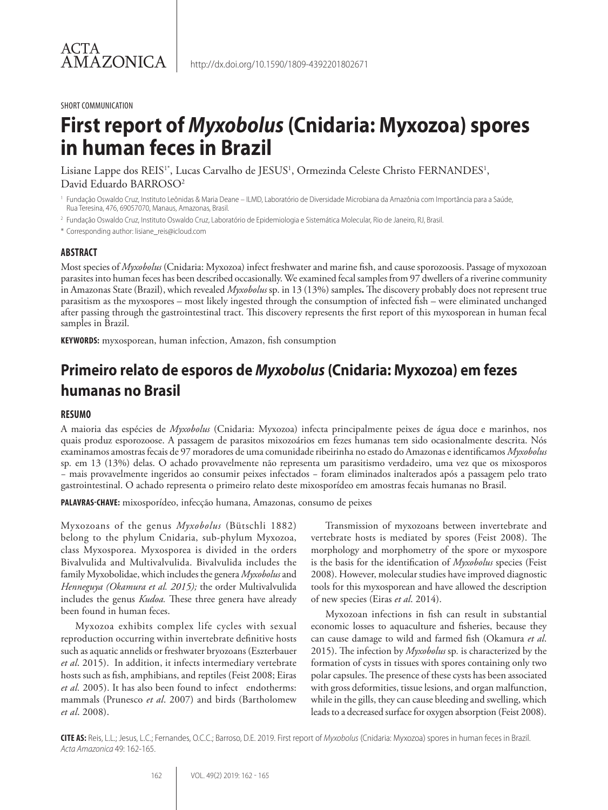#### SHORT COMMUNICATION

# **First report of** *Myxobolus* **(Cnidaria: Myxozoa) spores in human feces in Brazil**

Lisiane Lappe dos REIS<sup>1\*</sup>, Lucas Carvalho de JESUS<sup>1</sup>, Ormezinda Celeste Christo FERNANDES<sup>1</sup>, David Eduardo BARROSO<sup>2</sup>

<sup>1</sup> Fundação Oswaldo Cruz, Instituto Leônidas & Maria Deane – ILMD, Laboratório de Diversidade Microbiana da Amazônia com Importância para a Saúde, Rua Teresina, 476, 69057070, Manaus, Amazonas, Brasil.

<sup>2</sup> Fundação Oswaldo Cruz, Instituto Oswaldo Cruz, Laboratório de Epidemiologia e Sistemática Molecular, Rio de Janeiro, RJ, Brasil.

\* Corresponding author: lisiane\_reis@icloud.com

### **ABSTRACT**

Most species of *Myxobolus* (Cnidaria: Myxozoa) infect freshwater and marine fish, and cause sporozoosis. Passage of myxozoan parasites into human feces has been described occasionally. We examined fecal samples from 97 dwellers of a riverine community in Amazonas State (Brazil), which revealed *Myxobolus* sp. in 13 (13%) samples**.** The discovery probably does not represent true parasitism as the myxospores – most likely ingested through the consumption of infected fish – were eliminated unchanged after passing through the gastrointestinal tract. This discovery represents the first report of this myxosporean in human fecal samples in Brazil.

**KEYWORDS:** myxosporean, human infection, Amazon, fish consumption

# **Primeiro relato de esporos de** *Myxobolus* **(Cnidaria: Myxozoa) em fezes humanas no Brasil**

### **RESUMO**

A maioria das espécies de *Myxobolus* (Cnidaria: Myxozoa) infecta principalmente peixes de água doce e marinhos, nos quais produz esporozoose. A passagem de parasitos mixozoários em fezes humanas tem sido ocasionalmente descrita. Nós examinamos amostras fecais de 97 moradores de uma comunidade ribeirinha no estado do Amazonas e identificamos *Myxobolus*  sp*.* em 13 (13%) delas. O achado provavelmente não representa um parasitismo verdadeiro, uma vez que os mixosporos − mais provavelmente ingeridos ao consumir peixes infectados − foram eliminados inalterados após a passagem pelo trato gastrointestinal. O achado representa o primeiro relato deste mixosporídeo em amostras fecais humanas no Brasil.

**PALAVRAS-CHAVE:** mixosporídeo, infecção humana, Amazonas, consumo de peixes

Myxozoans of the genus *Myxobolus* (Bütschli 1882) belong to the phylum Cnidaria, sub-phylum Myxozoa, class Myxosporea. Myxosporea is divided in the orders Bivalvulida and Multivalvulida. Bivalvulida includes the family Myxobolidae, which includes the genera *Myxobolus* and *Henneguya (Okamura et al. 2015);* the order Multivalvulida includes the genus *Kudoa.* These three genera have already been found in human feces.

Myxozoa exhibits complex life cycles with sexual reproduction occurring within invertebrate definitive hosts such as aquatic annelids or freshwater bryozoans (Eszterbauer *et al*. 2015). In addition, it infects intermediary vertebrate hosts such as fish, amphibians, and reptiles (Feist 2008; Eiras *et al.* 2005). It has also been found to infect endotherms: mammals (Prunesco *et al*. 2007) and birds (Bartholomew *et al*. 2008).

Transmission of myxozoans between invertebrate and vertebrate hosts is mediated by spores (Feist 2008). The morphology and morphometry of the spore or myxospore is the basis for the identification of *Myxobolus* species (Feist 2008). However, molecular studies have improved diagnostic tools for this myxosporean and have allowed the description of new species (Eiras *et al*. 2014).

Myxozoan infections in fish can result in substantial economic losses to aquaculture and fisheries, because they can cause damage to wild and farmed fish (Okamura *et al*. 2015). The infection by *Myxobolus* sp*.* is characterized by the formation of cysts in tissues with spores containing only two polar capsules. The presence of these cysts has been associated with gross deformities, tissue lesions, and organ malfunction, while in the gills, they can cause bleeding and swelling, which leads to a decreased surface for oxygen absorption (Feist 2008).

**CITE AS:** Reis, L.L.; Jesus, L.C.; Fernandes, O.C.C.; Barroso, D.E. 2019. First report of *Myxobolus* (Cnidaria: Myxozoa) spores in human feces in Brazil. *Acta Amazonica* 49: 162-165.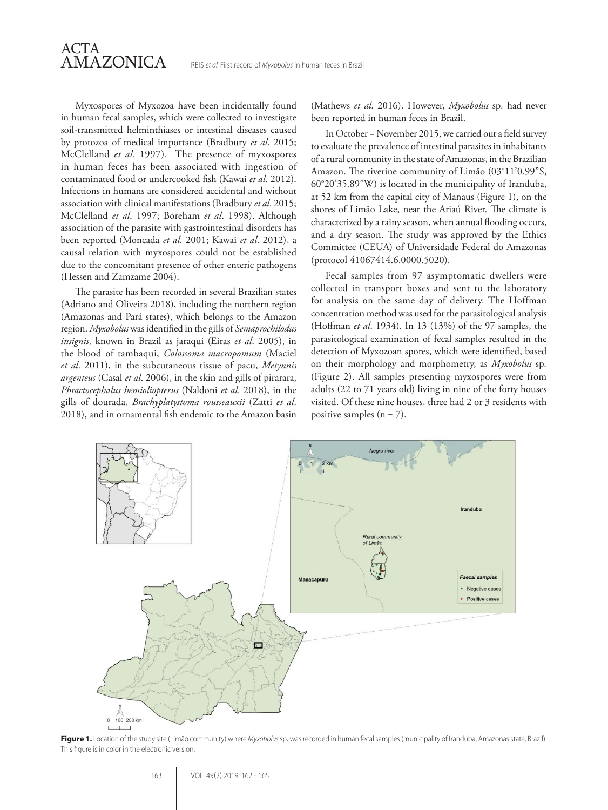Myxospores of Myxozoa have been incidentally found in human fecal samples, which were collected to investigate soil-transmitted helminthiases or intestinal diseases caused by protozoa of medical importance (Bradbury *et al*. 2015; McClelland *et al*. 1997). The presence of myxospores in human feces has been associated with ingestion of contaminated food or undercooked fish (Kawai *et al*. 2012). Infections in humans are considered accidental and without association with clinical manifestations (Bradbury *et al*. 2015; McClelland *et al*. 1997; Boreham *et al*. 1998). Although association of the parasite with gastrointestinal disorders has been reported (Moncada *et al*. 2001; Kawai *et al*. 2012), a causal relation with myxospores could not be established due to the concomitant presence of other enteric pathogens (Hessen and Zamzame 2004).

ACTA

AMAZONICA

The parasite has been recorded in several Brazilian states (Adriano and Oliveira 2018), including the northern region (Amazonas and Pará states), which belongs to the Amazon region. *Myxobolus* was identified in the gills of *Semaprochilodus insignis,* known in Brazil as jaraqui (Eiras *et al*. 2005), in the blood of tambaqui, *Colossoma macropomum* (Maciel *et al*. 2011), in the subcutaneous tissue of pacu, *Metynnis argenteus* (Casal *et al*. 2006), in the skin and gills of pirarara, *Phractocephalus hemioliopterus* (Naldoni *et al*. 2018), in the gills of dourada, *Brachyplatystoma rousseauxii* (Zatti *et al*. 2018), and in ornamental fish endemic to the Amazon basin (Mathews *et al*. 2016). However, *Myxobolus* sp*.* had never been reported in human feces in Brazil.

In October − November 2015, we carried out a field survey to evaluate the prevalence of intestinal parasites in inhabitants of a rural community in the state of Amazonas, in the Brazilian Amazon. The riverine community of Limão (03°11'0.99"S, 60°20'35.89"W) is located in the municipality of Iranduba, at 52 km from the capital city of Manaus (Figure 1), on the shores of Limão Lake, near the Ariaú River. The climate is characterized by a rainy season, when annual flooding occurs, and a dry season. The study was approved by the Ethics Committee (CEUA) of Universidade Federal do Amazonas (protocol 41067414.6.0000.5020).

Fecal samples from 97 asymptomatic dwellers were collected in transport boxes and sent to the laboratory for analysis on the same day of delivery. The Hoffman concentration method was used for the parasitological analysis (Hoffman *et al*. 1934). In 13 (13%) of the 97 samples, the parasitological examination of fecal samples resulted in the detection of Myxozoan spores, which were identified, based on their morphology and morphometry, as *Myxobolus* sp*.* (Figure 2). All samples presenting myxospores were from adults (22 to 71 years old) living in nine of the forty houses visited. Of these nine houses, three had 2 or 3 residents with positive samples  $(n = 7)$ .



**Figure 1.** Location of the study site (Limão community) where *Myxobolus* sp*.* was recorded in human fecal samples (municipality of Iranduba, Amazonas state, Brazil). This figure is in color in the electronic version.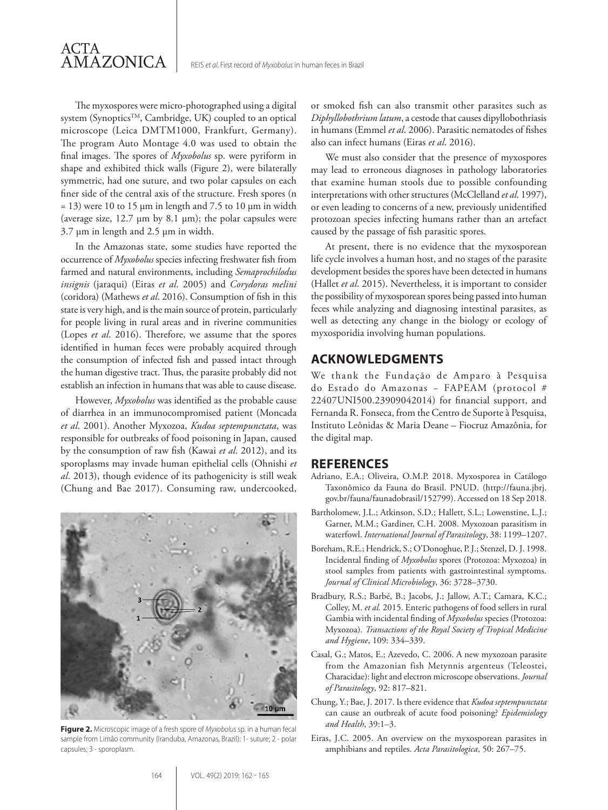The myxospores were micro-photographed using a digital system (SynopticsTM, Cambridge, UK) coupled to an optical microscope (Leica DMTM1000, Frankfurt, Germany). The program Auto Montage 4.0 was used to obtain the final images. The spores of *Myxobolus* sp. were pyriform in shape and exhibited thick walls (Figure 2), were bilaterally symmetric, had one suture, and two polar capsules on each finer side of the central axis of the structure. Fresh spores (n  $= 13$ ) were 10 to 15 μm in length and 7.5 to 10 μm in width (average size, 12.7 μm by 8.1 μm); the polar capsules were 3.7 μm in length and 2.5 μm in width.

In the Amazonas state, some studies have reported the occurrence of *Myxobolus* species infecting freshwater fish from farmed and natural environments, including *Semaprochilodus insignis* (jaraqui) (Eiras *et al*. 2005) and *Corydoras melini* (coridora) (Mathews *et al*. 2016). Consumption of fish in this state is very high, and is the main source of protein, particularly for people living in rural areas and in riverine communities (Lopes *et al*. 2016). Therefore, we assume that the spores identified in human feces were probably acquired through the consumption of infected fish and passed intact through the human digestive tract. Thus, the parasite probably did not establish an infection in humans that was able to cause disease.

However, *Myxobolus* was identified as the probable cause of diarrhea in an immunocompromised patient (Moncada *et al*. 2001). Another Myxozoa, *Kudoa septempunctata*, was responsible for outbreaks of food poisoning in Japan, caused by the consumption of raw fish (Kawai *et al*. 2012), and its sporoplasms may invade human epithelial cells (Ohnishi *et al*. 2013), though evidence of its pathogenicity is still weak (Chung and Bae 2017). Consuming raw, undercooked,



**Figure 2.** Microscopic image of a fresh spore of *Myxobolus* sp. in a human fecal sample from Limão community (Iranduba, Amazonas, Brazil): 1- suture; 2 - polar capsules; 3 - sporoplasm.

or smoked fish can also transmit other parasites such as *Diphyllobothrium latum*, a cestode that causes dipyllobothriasis in humans (Emmel *et al*. 2006). Parasitic nematodes of fishes also can infect humans (Eiras *et al*. 2016).

We must also consider that the presence of myxospores may lead to erroneous diagnoses in pathology laboratories that examine human stools due to possible confounding interpretations with other structures (McClelland *et al*. 1997), or even leading to concerns of a new, previously unidentified protozoan species infecting humans rather than an artefact caused by the passage of fish parasitic spores.

At present, there is no evidence that the myxosporean life cycle involves a human host, and no stages of the parasite development besides the spores have been detected in humans (Hallet *et al*. 2015). Nevertheless, it is important to consider the possibility of myxosporean spores being passed into human feces while analyzing and diagnosing intestinal parasites, as well as detecting any change in the biology or ecology of myxosporidia involving human populations.

## **ACKNOWLEDGMENTS**

We thank the Fundação de Amparo à Pesquisa do Estado do Amazonas − FAPEAM (protocol # 22407UNI500.23909042014) for financial support, and Fernanda R. Fonseca, from the Centro de Suporte à Pesquisa, Instituto Leônidas & Maria Deane – Fiocruz Amazônia, for the digital map.

### **REFERENCES**

- Adriano, E.A.; Oliveira, O.M.P. 2018. Myxosporea in Catálogo Taxonômico da Fauna do Brasil. PNUD. (http://fauna.jbrj. gov.br/fauna/faunadobrasil/152799). Accessed on 18 Sep 2018.
- Bartholomew, J.L.; Atkinson, S.D.; Hallett, S.L.; Lowenstine, L.J.; Garner, M.M.; Gardiner, C.H. 2008. Myxozoan parasitism in waterfowl. *International Journal of Parasitology*, 38: 1199–1207.
- Boreham, R.E.; Hendrick, S.; O'Donoghue, P. J.; Stenzel, D. J. 1998. Incidental finding of *Myxobolus* spores (Protozoa: Myxozoa) in stool samples from patients with gastrointestinal symptoms. *Journal of Clinical Microbiology*, 36: 3728–3730.
- Bradbury, R.S.; Barbé, B.; Jacobs, J.; Jallow, A.T.; Camara, K.C.; Colley, M. *et al.* 2015. Enteric pathogens of food sellers in rural Gambia with incidental finding of *Myxobolus* species (Protozoa: Myxozoa). *Transactions of the Royal Society of Tropical Medicine and Hygiene*, 109: 334–339.
- Casal, G.; Matos, E.; Azevedo, C. 2006. A new myxozoan parasite from the Amazonian fish Metynnis argenteus (Teleostei, Characidae): light and electron microscope observations. *Journal of Parasitology*, 92: 817–821.
- Chung, Y.; Bae, J. 2017. Is there evidence that *Kudoa septempunctata* can cause an outbreak of acute food poisoning? *Epidemiology and Health*, 39:1–3.
- Eiras, J.C. 2005. An overview on the myxosporean parasites in amphibians and reptiles. *Acta Parasitologica*, 50: 267–75.